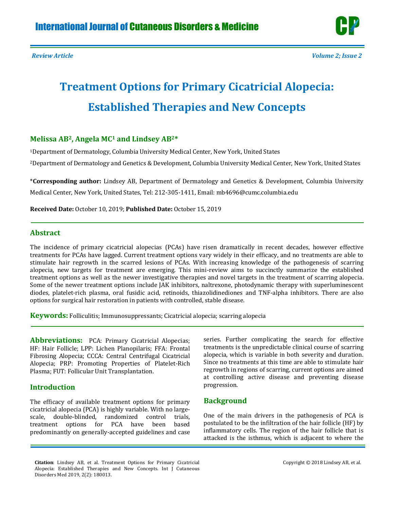# **Treatment Options for Primary Cicatricial Alopecia: Established Therapies and New Concepts**

# **Melissa AB2, Angela MC<sup>1</sup> and Lindsey AB2\***

<sup>1</sup>Department of Dermatology, Columbia University Medical Center, New York, United States

<sup>2</sup>Department of Dermatology and Genetics & Development, Columbia University Medical Center, New York, United States

\***Corresponding author:** Lindsey AB, Department of Dermatology and Genetics & Development, Columbia University Medical Center, New York, United States, Tel: 212-305-1411, Email[: mb4696@cumc.columbia.edu](mailto:mb4696@cumc.columbia.edu)

**Received Date:** October 10, 2019; **Published Date:** October 15, 2019

# **Abstract**

The incidence of primary cicatricial alopecias (PCAs) have risen dramatically in recent decades, however effective treatments for PCAs have lagged. Current treatment options vary widely in their efficacy, and no treatments are able to stimulate hair regrowth in the scarred lesions of PCAs. With increasing knowledge of the pathogenesis of scarring alopecia, new targets for treatment are emerging. This mini-review aims to succinctly summarize the established treatment options as well as the newer investigative therapies and novel targets in the treatment of scarring alopecia. Some of the newer treatment options include JAK inhibitors, naltrexone, photodynamic therapy with superluminescent diodes, platelet-rich plasma, oral fusidic acid, retinoids, thiazolidinediones and TNF-alpha inhibitors. There are also options for surgical hair restoration in patients with controlled, stable disease.

**Keywords:** Folliculitis; Immunosuppressants; Cicatricial alopecia; scarring alopecia

**Abbreviations:** PCA: Primary Cicatricial Alopecias; HF: Hair Follicle; LPP: Lichen Planopilaris; FFA: Frontal Fibrosing Alopecia; CCCA: Central Centrifugal Cicatricial Alopecia; PRP: Promoting Properties of Platelet-Rich Plasma; FUT: Follicular Unit Transplantation.

# **Introduction**

The efficacy of available treatment options for primary cicatricial alopecia (PCA) is highly variable. With no largescale, double-blinded, randomized control trials, treatment options for PCA have been based predominantly on generally-accepted guidelines and case series. Further complicating the search for effective treatments is the unpredictable clinical course of scarring alopecia, which is variable in both severity and duration. Since no treatments at this time are able to stimulate hair regrowth in regions of scarring, current options are aimed at controlling active disease and preventing disease progression.

# **Background**

One of the main drivers in the pathogenesis of PCA is postulated to be the infiltration of the hair follicle (HF) by inflammatory cells. The region of the hair follicle that is attacked is the isthmus, which is adjacent to where the

**Citation**: Lindsey AB, et al. Treatment Options for Primary Cicatricial Alopecia: Established Therapies and New Concepts. Int J Cutaneous Disorders Med 2019, 2(2): 180013.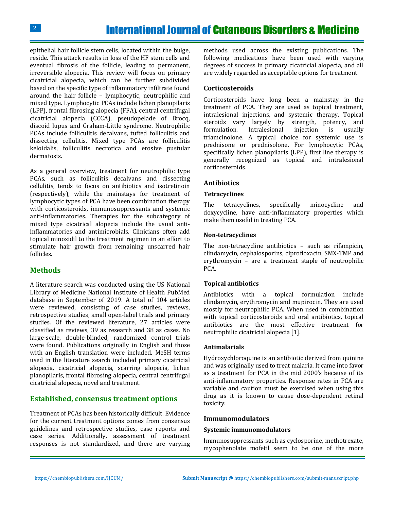epithelial hair follicle stem cells, located within the bulge, reside. This attack results in loss of the HF stem cells and eventual fibrosis of the follicle, leading to permanent, irreversible alopecia. This review will focus on primary cicatricial alopecia, which can be further subdivided based on the specific type of inflammatory infiltrate found around the hair follicle – lymphocytic, neutrophilic and mixed type. Lymphocytic PCAs include lichen planopilaris (LPP), frontal fibrosing alopecia (FFA), central centrifugal cicatricial alopecia (CCCA), pseudopelade of Brocq, discoid lupus and Graham-Little syndrome. Neutrophilic PCAs include folliculitis decalvans, tufted folliculitis and dissecting cellulitis. Mixed type PCAs are folliculitis keloidalis, folliculitis necrotica and erosive pustular dermatosis.

As a general overview, treatment for neutrophilic type PCAs, such as folliculitis decalvans and dissecting cellulitis, tends to focus on antibiotics and isotretinoin (respectively), while the mainstays for treatment of lymphocytic types of PCA have been combination therapy with corticosteroids, immunosuppressants and systemic anti-inflammatories. Therapies for the subcategory of mixed type cicatrical alopecia include the usual antiinflammatories and antimicrobials. Clinicians often add topical minoxidil to the treatment regimen in an effort to stimulate hair growth from remaining unscarred hair follicles.

# **Methods**

A literature search was conducted using the US National Library of Medicine National Institute of Health PubMed database in September of 2019. A total of 104 articles were reviewed, consisting of case studies, reviews, retrospective studies, small open-label trials and primary studies. Of the reviewed literature, 27 articles were classified as reviews, 39 as research and 38 as cases. No large-scale, double-blinded, randomized control trials were found. Publications originally in English and those with an English translation were included. MeSH terms used in the literature search included primary cicatricial alopecia, cicatricial alopecia, scarring alopecia, lichen planopilaris, frontal fibrosing alopecia, central centrifugal cicatricial alopecia, novel and treatment.

## **Established, consensus treatment options**

Treatment of PCAs has been historically difficult. Evidence for the current treatment options comes from consensus guidelines and retrospective studies, case reports and case series. Additionally, assessment of treatment responses is not standardized, and there are varying methods used across the existing publications. The following medications have been used with varying degrees of success in primary cicatricial alopecia, and all are widely regarded as acceptable options for treatment.

## **Corticosteroids**

Corticosteroids have long been a mainstay in the treatment of PCA. They are used as topical treatment, intralesional injections, and systemic therapy. Topical steroids vary largely by strength, potency, and formulation. Intralesional injection is usually triamcinolone. A typical choice for systemic use is prednisone or prednisolone. For lymphocytic PCAs, specifically lichen planopilaris (LPP), first line therapy is generally recognized as topical and intralesional corticosteroids.

## **Antibiotics**

#### **Tetracyclines**

The tetracyclines, specifically minocycline and doxycycline, have anti-inflammatory properties which make them useful in treating PCA.

#### **Non-tetracyclines**

The non-tetracycline antibiotics – such as rifampicin, clindamycin, cephalosporins, ciprofloxacin, SMX-TMP and erythromycin – are a treatment staple of neutrophilic PCA.

## **Topical antibiotics**

Antibiotics with a topical formulation include clindamycin, erythromycin and mupirocin. They are used mostly for neutrophilic PCA. When used in combination with topical corticosteroids and oral antibiotics, topical antibiotics are the most effective treatment for neutrophilic cicatricial alopecia [1].

#### **Antimalarials**

Hydroxychloroquine is an antibiotic derived from quinine and was originally used to treat malaria. It came into favor as a treatment for PCA in the mid 2000's because of its anti-inflammatory properties. Response rates in PCA are variable and caution must be exercised when using this drug as it is known to cause dose-dependent retinal toxicity.

## **Immunomodulators**

#### **Systemic immunomodulators**

Immunosuppressants such as cyclosporine, methotrexate, mycophenolate mofetil seem to be one of the more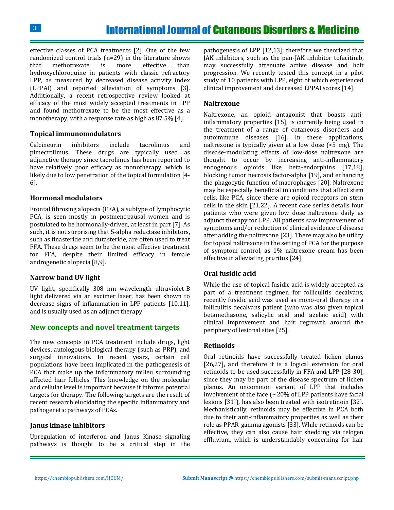effective classes of PCA treatments [2]. One of the few randomized control trials (n=29) in the literature shows that methotrexate is more effective than hydroxychloroquine in patients with classic refractory LPP, as measured by decreased disease activity index (LPPAI) and reported alleviation of symptoms [3]. Additionally, a recent retrospective review looked at efficacy of the most widely accepted treatments in LPP and found methotrexate to be the most effective as a monotherapy, with a response rate as high as 87.5% [4].

## **Topical immunomodulators**

Calcineurin inhibitors include tacrolimus and pimecrolimus. These drugs are typically used as adjunctive therapy since tacrolimus has been reported to have relatively poor efficacy as monotherapy, which is likely due to low penetration of the topical formulation [4- 6].

## **Hormonal modulators**

Frontal fibrosing alopecia (FFA), a subtype of lymphocytic PCA, is seen mostly in postmenopausal women and is postulated to be hormonally-driven, at least in part [7]. As such, it is not surprising that 5-alpha reductase inhibitors, such as finasteride and dutasteride, are often used to treat FFA. These drugs seem to be the most effective treatment for FFA, despite their limited efficacy in female androgenetic alopecia [8,9].

## **Narrow band UV light**

UV light, specifically 308 nm wavelength ultraviolet-B light delivered via an excimer laser, has been shown to decrease signs of inflammation in LPP patients [10,11], and is usually used as an adjunct therapy.

## **New concepts and novel treatment targets**

The new concepts in PCA treatment include drugs, light devices, autologous biological therapy (such as PRP), and surgical innovations. In recent years, certain cell populations have been implicated in the pathogenesis of PCA that make up the inflammatory milieu surrounding affected hair follicles. This knowledge on the molecular and cellular level is important because it informs potential targets for therapy. The following targets are the result of recent research elucidating the specific inflammatory and pathogenetic pathways of PCAs.

## **Janus kinase inhibitors**

Upregulation of interferon and Janus Kinase signaling pathways is thought to be a critical step in the

pathogenesis of LPP [12,13]; therefore we theorized that JAK inhibitors, such as the pan-JAK inhibitor tofacitinib, may successfully attenuate active disease and halt progression. We recently tested this concept in a pilot study of 10 patients with LPP, eight of which experienced clinical improvement and decreased LPPAI scores [14].

## **Naltrexone**

Naltrexone, an opioid antagonist that boasts antiinflammatory properties [15], is currently being used in the treatment of a range of cutaneous disorders and autoimmune diseases [16]. In these applications, naltrexone is typically given at a low dose (<5 mg). The disease-modulating effects of low-dose naltrexone are thought to occur by increasing anti-inflammatory endogenous opioids like beta-endorphins [17,18], blocking tumor necrosis factor-alpha [19], and enhancing the phagocytic function of macrophages [20]. Naltrexone may be especially beneficial in conditions that affect stem cells, like PCA, since there are opioid receptors on stem cells in the skin [21,22]. A recent case series details four patients who were given low dose naltrexone daily as adjunct therapy for LPP. All patients saw improvement of symptoms and/or reduction of clinical evidence of disease after adding the naltrexone [23]. There may also be utility for topical naltrexone in the setting of PCA for the purpose of symptom control, as 1% naltrexone cream has been effective in alleviating pruritus [24].

## **Oral fusidic acid**

While the use of topical fusidic acid is widely accepted as part of a treatment regimen for folliculitis decalvans, recently fusidic acid was used as mono-oral therapy in a folliculitis decalvans patient (who was also given topical betamethasone, salicylic acid and azelaic acid) with clinical improvement and hair regrowth around the periphery of lesional sites [25].

## **Retinoids**

Oral retinoids have successfully treated lichen planus [26,27], and therefore it is a logical extension for oral retinoids to be used successfully in FFA and LPP [28-30], since they may be part of the disease spectrum of lichen planus. An uncommon variant of LPP that includes involvement of the face  $\sim$  20% of LPP patients have facial lesions [31]), has also been treated with isotretinoin [32]. Mechanistically, retinoids may be effective in PCA both due to their anti-inflammatory properties as well as their role as PPAR-gamma agonists [33]. While retinoids can be effective, they can also cause hair shedding via telogen effluvium, which is understandably concerning for hair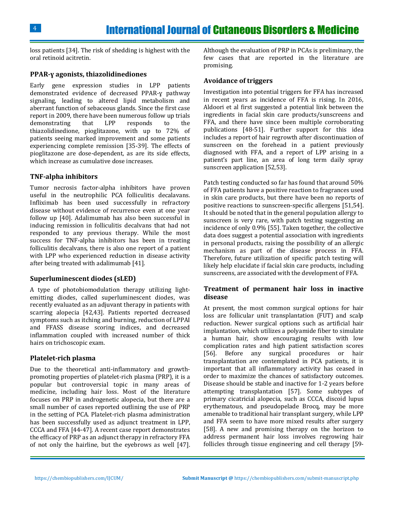loss patients [34]. The risk of shedding is highest with the oral retinoid acitretin.

## **PPAR-ɣ agonists, thiazolidinediones**

Early gene expression studies in LPP patients demonstrated evidence of decreased PPAR-ɣ pathway signaling, leading to altered lipid metabolism and aberrant function of sebaceous glands. Since the first case report in 2009, there have been numerous follow up trials demonstrating that LPP responds to the thiazolidinedione, pioglitazone, with up to 72% of patients seeing marked improvement and some patients experiencing complete remission [35-39]. The effects of pioglitazone are dose-dependent, as are its side effects, which increase as cumulative dose increases.

#### **TNF-alpha inhibitors**

Tumor necrosis factor-alpha inhibitors have proven useful in the neutrophilic PCA folliculitis decalavans. Infliximab has been used successfully in refractory disease without evidence of recurrence even at one year follow up [40]. Adalimumab has also been successful in inducing remission in folliculitis decalvans that had not responded to any previous therapy. While the most success for TNF-alpha inhibitors has been in treating folliculitis decalvans, there is also one report of a patient with LPP who experienced reduction in disease activity after being treated with adalimumab [41].

#### **Superluminescent diodes (sLED)**

A type of photobiomodulation therapy utilizing lightemitting diodes, called superluminescent diodes, was recently evaluated as an adjuvant therapy in patients with scarring alopecia [42,43]. Patients reported decreased symptoms such as itching and burning, reduction of LPPAI and FFASS disease scoring indices, and decreased inflammation coupled with increased number of thick hairs on trichoscopic exam.

#### **Platelet-rich plasma**

Due to the theoretical anti-inflammatory and growthpromoting properties of platelet-rich plasma (PRP), it is a popular but controversial topic in many areas of medicine, including hair loss. Most of the literature focuses on PRP in androgenetic alopecia, but there are a small number of cases reported outlining the use of PRP in the setting of PCA. Platelet-rich plasma administration has been successfully used as adjunct treatment in LPP, CCCA and FFA [44-47]. A recent case report demonstrates the efficacy of PRP as an adjunct therapy in refractory FFA of not only the hairline, but the eyebrows as well [47]. Although the evaluation of PRP in PCAs is preliminary, the few cases that are reported in the literature are promising.

#### **Avoidance of triggers**

Investigation into potential triggers for FFA has increased in recent years as incidence of FFA is rising. In 2016, Aldoori et al first suggested a potential link between the ingredients in facial skin care products/sunscreens and FFA, and there have since been multiple corroborating publications [48-51]. Further support for this idea includes a report of hair regrowth after discontinuation of sunscreen on the forehead in a patient previously diagnosed with FFA, and a report of LPP arising in a patient's part line, an area of long term daily spray sunscreen application [52,53].

Patch testing conducted so far has found that around 50% of FFA patients have a positive reaction to fragrances used in skin care products, but there have been no reports of positive reactions to sunscreen-specific allergens [51,54]. It should be noted that in the general population allergy to sunscreen is very rare, with patch testing suggesting an incidence of only 0.9% [55]. Taken together, the collective data does suggest a potential association with ingredients in personal products, raising the possibility of an allergic mechanism as part of the disease process in FFA. Therefore, future utilization of specific patch testing will likely help elucidate if facial skin care products, including sunscreens, are associated with the development of FFA.

## **Treatment of permanent hair loss in inactive disease**

At present, the most common surgical options for hair loss are follicular unit transplantation (FUT) and scalp reduction. Newer surgical options such as artificial hair implantation, which utilizes a polyamide fiber to simulate a human hair, show encouraging results with low complication rates and high patient satisfaction scores [56]. Before any surgical procedures or hair transplantation are contemplated in PCA patients, it is important that all inflammatory activity has ceased in order to maximize the chances of satisfactory outcomes. Disease should be stable and inactive for 1-2 years before attempting transplantation [57]. Some subtypes of primary cicatricial alopecia, such as CCCA, discoid lupus erythematous, and pseudopelade Brocq, may be more amenable to traditional hair transplant surgery, while LPP and FFA seem to have more mixed results after surgery [58]. A new and promising therapy on the horizon to address permanent hair loss involves regrowing hair follicles through tissue engineering and cell therapy [59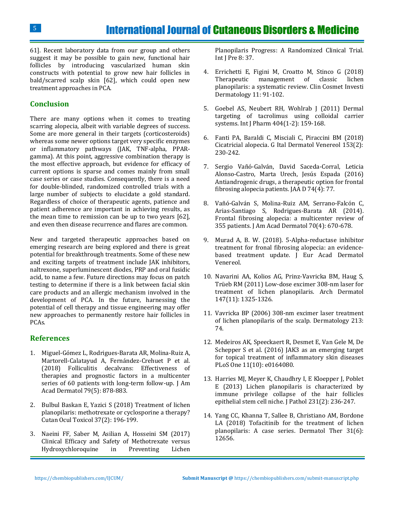61]. Recent laboratory data from our group and others suggest it may be possible to gain new, functional hair follicles by introducing vascularized human skin constructs with potential to grow new hair follicles in bald/scarred scalp skin [62], which could open new treatment approaches in PCA.

# **Conclusion**

There are many options when it comes to treating scarring alopecia, albeit with variable degrees of success. Some are more general in their targets (corticosteroids) whereas some newer options target very specific enzymes or inflammatory pathways (JAK, TNF-alpha, PPARgamma). At this point, aggressive combination therapy is the most effective approach, but evidence for efficacy of current options is sparse and comes mainly from small case series or case studies. Consequently, there is a need for double-blinded, randomized controlled trials with a large number of subjects to elucidate a gold standard. Regardless of choice of therapeutic agents, patience and patient adherence are important in achieving results, as the mean time to remission can be up to two years [62], and even then disease recurrence and flares are common.

New and targeted therapeutic approaches based on emerging research are being explored and there is great potential for breakthrough treatments. Some of these new and exciting targets of treatment include JAK inhibitors, naltrexone, superluminescent diodes, PRP and oral fusidic acid, to name a few. Future directions may focus on patch testing to determine if there is a link between facial skin care products and an allergic mechanism involved in the development of PCA. In the future, harnessing the potential of cell therapy and tissue engineering may offer new approaches to permanently restore hair follicles in PCAs.

# **References**

- 1. [Miguel-Gómez L, Rodrigues-Barata AR, Molina-Ruiz A,](https://www.ncbi.nlm.nih.gov/pubmed/29864465)  [Martorell-Calatayud A, Fernández-Crehuet P et al.](https://www.ncbi.nlm.nih.gov/pubmed/29864465)  [\(2018\) Folliculitis decalvans: Effectiveness of](https://www.ncbi.nlm.nih.gov/pubmed/29864465)  [therapies and prognostic factors in a multicenter](https://www.ncbi.nlm.nih.gov/pubmed/29864465)  series of 60 patients with long-term follow-up. J Am [Acad Dermatol 79\(5\): 878-883.](https://www.ncbi.nlm.nih.gov/pubmed/29864465)
- 2. [Bulbul Baskan E, Yazici S \(2018\) Treatment of lichen](https://www.ncbi.nlm.nih.gov/pubmed/28944688)  [planopilaris: methotrexate or cyclosporine a therapy?](https://www.ncbi.nlm.nih.gov/pubmed/28944688)  [Cutan Ocul Toxicol 37\(2\): 196-199.](https://www.ncbi.nlm.nih.gov/pubmed/28944688)
- 3. [Naeini FF, Saber M, Asilian A, Hosseini SM \(2017\)](https://www.ncbi.nlm.nih.gov/pubmed/28584619)  [Clinical Efficacy and Safety of Methotrexate versus](https://www.ncbi.nlm.nih.gov/pubmed/28584619)  [Hydroxychloroquine in Preventing Lichen](https://www.ncbi.nlm.nih.gov/pubmed/28584619)

[Planopilaris Progress: A Randomized Clinical Trial.](https://www.ncbi.nlm.nih.gov/pubmed/28584619)  [Int J Pre 8: 37.](https://www.ncbi.nlm.nih.gov/pubmed/28584619)

- 4. [Errichetti E, Figini M, Croatto M, Stinco G \(2018\)](https://www.ncbi.nlm.nih.gov/pubmed/29520159)  [Therapeutic management of classic lichen](https://www.ncbi.nlm.nih.gov/pubmed/29520159)  [planopilaris: a systematic review. Clin Cosmet Investi](https://www.ncbi.nlm.nih.gov/pubmed/29520159)  [Dermatology 11: 91-102.](https://www.ncbi.nlm.nih.gov/pubmed/29520159)
- 5. [Goebel AS, Neubert RH, Wohlrab J \(2011\) Dermal](https://www.ncbi.nlm.nih.gov/pubmed/21094231)  [targeting of tacrolimus using colloidal carrier](https://www.ncbi.nlm.nih.gov/pubmed/21094231)  [systems. Int J Pharm 404\(1-2\): 159-168.](https://www.ncbi.nlm.nih.gov/pubmed/21094231)
- 6. [Fanti PA, Baraldi C, Misciali C, Piraccini BM \(2018\)](https://www.ncbi.nlm.nih.gov/pubmed/29368842)  [Cicatricial alopecia. G Ital Dermatol Venereol 153\(2\):](https://www.ncbi.nlm.nih.gov/pubmed/29368842)  [230-242.](https://www.ncbi.nlm.nih.gov/pubmed/29368842)
- 7. [Sergio Vañó-Galván, David Saceda-Corral, Leticia](https://www.jaad.org/article/S0190-9622(15)02621-3/fulltext)  [Alonso-Castro, Marta Urech, Jesús Espada \(2016\)](https://www.jaad.org/article/S0190-9622(15)02621-3/fulltext)  [Antiandrogenic drugs, a therapeutic option for frontal](https://www.jaad.org/article/S0190-9622(15)02621-3/fulltext)  [fibrosing alopecia patients. JAA D 74\(4\): 77.](https://www.jaad.org/article/S0190-9622(15)02621-3/fulltext)
- 8. [Vañó-Galván S, Molina-Ruiz AM, Serrano-Falcón C,](https://www.ncbi.nlm.nih.gov/pubmed/24508293)  [Arias-Santiago S, Rodrigues-Barata AR \(2014\).](https://www.ncbi.nlm.nih.gov/pubmed/24508293)  [Frontal fibrosing alopecia: a multicenter review of](https://www.ncbi.nlm.nih.gov/pubmed/24508293)  [355 patients. J Am Acad Dermatol 70\(4\): 670-678.](https://www.ncbi.nlm.nih.gov/pubmed/24508293)
- 9. [Murad A, B. W. \(2018\). 5-Alpha-reductase inhibitor](https://www.ncbi.nlm.nih.gov/pubmed/29524253)  [treatment for fronal fibrosing alopecia: an evidence](https://www.ncbi.nlm.nih.gov/pubmed/29524253)[based treatment update. J Eur Acad Dermatol](https://www.ncbi.nlm.nih.gov/pubmed/29524253)  [Venereol.](https://www.ncbi.nlm.nih.gov/pubmed/29524253)
- 10. [Navarini AA, Kolios AG, Prinz-Vavricka BM, Haug S,](https://www.ncbi.nlm.nih.gov/pubmed/22106124)  [Trüeb RM \(2011\) Low-dose excimer 308-nm laser for](https://www.ncbi.nlm.nih.gov/pubmed/22106124)  [treatment of lichen planopilaris. Arch Dermatol](https://www.ncbi.nlm.nih.gov/pubmed/22106124)  [147\(11\): 1325-1326.](https://www.ncbi.nlm.nih.gov/pubmed/22106124)
- 11. Vavricka BP (2006) 308-nm excimer laser treatment of lichen planopilaris of the scalp. Dermatology 213: 74.
- 12. [Medeiros AK, Speeckaert R, Desmet E, Van Gele M, De](https://www.ncbi.nlm.nih.gov/pubmed/27711196)  [Schepper S et al. \(2016\) JAK3 as an emerging target](https://www.ncbi.nlm.nih.gov/pubmed/27711196)  [for topical treatment of inflammatory skin diseases](https://www.ncbi.nlm.nih.gov/pubmed/27711196)  [PLoS One 11\(10\): e0164080.](https://www.ncbi.nlm.nih.gov/pubmed/27711196)
- 13. [Harries MJ, Meyer K, Chaudhry I, E Kloepper J, Poblet](https://www.ncbi.nlm.nih.gov/pubmed/23788005)  [E \(2013\) Lichen planopilaris is characterized by](https://www.ncbi.nlm.nih.gov/pubmed/23788005)  [immune privilege collapse of the hair follicles](https://www.ncbi.nlm.nih.gov/pubmed/23788005)  [epithelial stem cell niche. J Pathol 231\(2\): 236-247.](https://www.ncbi.nlm.nih.gov/pubmed/23788005)
- 14. [Yang CC, Khanna T, Sallee B, Christiano AM, Bordone](https://www.ncbi.nlm.nih.gov/pubmed/30264512)  [LA \(2018\) Tofacitinib for the treatment of lichen](https://www.ncbi.nlm.nih.gov/pubmed/30264512)  [planopilaris: A case series. Dermatol Ther 31\(6\):](https://www.ncbi.nlm.nih.gov/pubmed/30264512)  [12656.](https://www.ncbi.nlm.nih.gov/pubmed/30264512)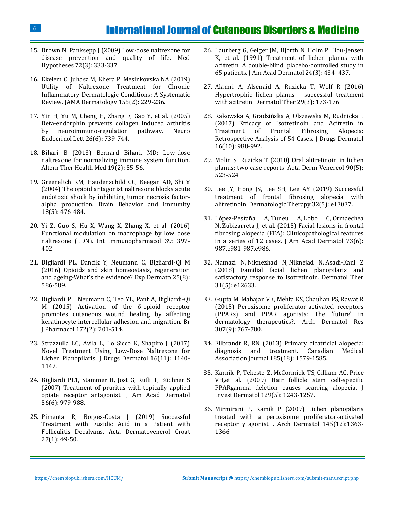- 15. [Brown N, Panksepp J \(2009\) Low-dose naltrexone for](https://www.ncbi.nlm.nih.gov/pubmed/19041189)  [disease prevention and quality of life. Med](https://www.ncbi.nlm.nih.gov/pubmed/19041189)  [Hypotheses 72\(3\): 333-337.](https://www.ncbi.nlm.nih.gov/pubmed/19041189)
- 16. [Ekelem C, Juhasz M, Khera P, Mesinkovska NA \(2019\)](https://www.ncbi.nlm.nih.gov/pubmed/30484835)  [Utility of Naltrexone Treatment for Chronic](https://www.ncbi.nlm.nih.gov/pubmed/30484835)  [Inflammatory Dermatologic Conditions: A Systematic](https://www.ncbi.nlm.nih.gov/pubmed/30484835)  [Review. JAMA Dermatology 155\(2\): 229-236.](https://www.ncbi.nlm.nih.gov/pubmed/30484835)
- 17. [Yin H, Yu M, Cheng H, Zhang F, Gao Y, et al. \(2005\)](https://www.ncbi.nlm.nih.gov/pubmed/16380673)  [Beta-endorphin prevents collagen induced arthritis](https://www.ncbi.nlm.nih.gov/pubmed/16380673)  [by neuroimmuno-regulation pathway. Neuro](https://www.ncbi.nlm.nih.gov/pubmed/16380673)  [Endocrinol Lett 26\(6\): 739-744.](https://www.ncbi.nlm.nih.gov/pubmed/16380673)
- 18. [Bihari B \(2013\) Bernard Bihari, MD: Low-dose](https://www.ncbi.nlm.nih.gov/pubmed/23594453)  [naltrexone for normalizing immune system function.](https://www.ncbi.nlm.nih.gov/pubmed/23594453)  [Altern Ther Health Med 19\(2\): 55-56.](https://www.ncbi.nlm.nih.gov/pubmed/23594453)
- 19. [Greeneltch KM, Haudenschild CC, Keegan AD, Shi Y](https://www.ncbi.nlm.nih.gov/pubmed/15265541)  [\(2004\) The opioid antagonist naltrexone blocks acute](https://www.ncbi.nlm.nih.gov/pubmed/15265541) [endotoxic shock by inhibiting tumor necrosis factor](https://www.ncbi.nlm.nih.gov/pubmed/15265541)[alpha production. Brain Behavior and Immunity](https://www.ncbi.nlm.nih.gov/pubmed/15265541)  [18\(5\): 476-484.](https://www.ncbi.nlm.nih.gov/pubmed/15265541)
- 20. Yi Z, Guo [S, Hu X, Wang X, Zhang X, et al. \(2016\)](https://www.ncbi.nlm.nih.gov/pubmed/27561742)  [Functional modulation on macrophage by low dose](https://www.ncbi.nlm.nih.gov/pubmed/27561742)  [naltrexone \(LDN\). Int Immunopharmacol 39: 397-](https://www.ncbi.nlm.nih.gov/pubmed/27561742) [402.](https://www.ncbi.nlm.nih.gov/pubmed/27561742)
- 21. [Bigliardi PL, Dancik Y, Neumann C, Bigliardi-Qi M](https://www.ncbi.nlm.nih.gov/pubmed/27060353)  [\(2016\) Opioids and skin homeostasis, regeneration](https://www.ncbi.nlm.nih.gov/pubmed/27060353)  [and ageing-What's the evidence? Exp Dermato 25\(8\):](https://www.ncbi.nlm.nih.gov/pubmed/27060353)  [586-589.](https://www.ncbi.nlm.nih.gov/pubmed/27060353)
- 22. [Bigliardi PL, Neumann C, Teo YL, Pant A, Bigliardi-Qi](https://www.ncbi.nlm.nih.gov/pubmed/24628261)  [M \(2015\) Activation of the δ](https://www.ncbi.nlm.nih.gov/pubmed/24628261)-opioid receptor [promotes cutaneous wound healing by affecting](https://www.ncbi.nlm.nih.gov/pubmed/24628261)  [keratinocyte intercellular adhesion and migration. Br](https://www.ncbi.nlm.nih.gov/pubmed/24628261)  [J Pharmacol 172\(2\): 201-514.](https://www.ncbi.nlm.nih.gov/pubmed/24628261)
- 23. [Strazzulla LC, Avila L, Lo Sicco K, Shapiro J \(2017\)](https://www.ncbi.nlm.nih.gov/pubmed/29141063)  [Novel Treatment Using Low-Dose Naltrexone for](https://www.ncbi.nlm.nih.gov/pubmed/29141063)  [Lichen Planopilaris. J Drugs Dermatol 16\(11\): 1140-](https://www.ncbi.nlm.nih.gov/pubmed/29141063) [1142.](https://www.ncbi.nlm.nih.gov/pubmed/29141063)
- 24. [Bigliardi PL1, Stammer H, Jost G, Rufli T, Büchner S](https://www.ncbi.nlm.nih.gov/pubmed/17320241)  [\(2007\) Treatment of pruritus with topically applied](https://www.ncbi.nlm.nih.gov/pubmed/17320241)  [opiate receptor antagonist. J Am Acad Dermatol](https://www.ncbi.nlm.nih.gov/pubmed/17320241)  [56\(6\): 979-988.](https://www.ncbi.nlm.nih.gov/pubmed/17320241)
- 25. [Pimenta R, Borges-Costa J \(2019\) Successful](https://www.ncbi.nlm.nih.gov/pubmed/31032795)  [Treatment with Fusidic Acid in a Patient with](https://www.ncbi.nlm.nih.gov/pubmed/31032795)  [Folliculitis Decalvans. Acta Dermatovenerol Croat](https://www.ncbi.nlm.nih.gov/pubmed/31032795)  [27\(1\): 49-50.](https://www.ncbi.nlm.nih.gov/pubmed/31032795)
- 26. [Laurberg G, Geiger JM, Hjorth N, Holm P, Hou-Jensen](https://www.ncbi.nlm.nih.gov/pubmed/1829465)  [K, et al. \(1991\) Treatment of lichen planus with](https://www.ncbi.nlm.nih.gov/pubmed/1829465)  [acitretin. A double-blind, placebo-controlled study in](https://www.ncbi.nlm.nih.gov/pubmed/1829465)  [65 patients. J Am Acad Dermatol 24\(3\): 434 -437.](https://www.ncbi.nlm.nih.gov/pubmed/1829465)
- 27. [Alamri A, Alsenaid A, Ruzicka T, Wolf R \(2016\)](https://www.ncbi.nlm.nih.gov/pubmed/26809380)  [Hypertrophic lichen planus -](https://www.ncbi.nlm.nih.gov/pubmed/26809380) successful treatment [with acitretin. Dermatol Ther 29\(3\): 173-176.](https://www.ncbi.nlm.nih.gov/pubmed/26809380)
- 28. [Rakowska A, Gradzińska A, Olszewska M, Rudnicka L](https://www.ncbi.nlm.nih.gov/pubmed/29036252)  [\(2017\) Efficacy of Isotretinoin and Acitretin in](https://www.ncbi.nlm.nih.gov/pubmed/29036252)  [Treatment of Frontal Fibrosing Alopecia:](https://www.ncbi.nlm.nih.gov/pubmed/29036252)  [Retrospective Analysis of 54 Cases. J Drugs Dermatol](https://www.ncbi.nlm.nih.gov/pubmed/29036252)  [16\(10\): 988-992.](https://www.ncbi.nlm.nih.gov/pubmed/29036252)
- 29. [Molin S, Ruzicka T \(2010\) Oral alitretinoin in lichen](https://www.ncbi.nlm.nih.gov/pubmed/20814633)  [planus: two case reports. Acta Derm Venereol 90\(5\):](https://www.ncbi.nlm.nih.gov/pubmed/20814633)  [523-524.](https://www.ncbi.nlm.nih.gov/pubmed/20814633)
- 30. [Lee JY, Hong JS, Lee SH, Lee AY \(2019\) Successful](https://www.ncbi.nlm.nih.gov/pubmed/31361931)  [treatment of frontal fibrosing alopecia with](https://www.ncbi.nlm.nih.gov/pubmed/31361931)  [alitretinoin. Dermatologic Therapy 32\(5\): e13037.](https://www.ncbi.nlm.nih.gov/pubmed/31361931)
- 31. [López-Pestaña A,](https://www.ncbi.nlm.nih.gov/pubmed/26432059) Tuneu A, Lobo C, Ormaechea N, Zubizarreta J, et [al. \(2015\) Facial lesions in frontal](https://www.ncbi.nlm.nih.gov/pubmed/26432059)  [fibrosing alopecia \(FFA\): Clinicopathological features](https://www.ncbi.nlm.nih.gov/pubmed/26432059)  [in a series of 12 cases. J Am Acad Dermatol 73\(6\):](https://www.ncbi.nlm.nih.gov/pubmed/26432059)  [987.e981-987.e986.](https://www.ncbi.nlm.nih.gov/pubmed/26432059)
- 32. Namazi N, [Niknezhad N,](https://www.ncbi.nlm.nih.gov/pubmed/30133952) Niknejad N, Asadi-Kani Z [\(2018\) Familial facial lichen planopilaris and](https://www.ncbi.nlm.nih.gov/pubmed/30133952)  [satisfactory response to isotretinoin. Dermatol Ther](https://www.ncbi.nlm.nih.gov/pubmed/30133952)  [31\(5\): e12633.](https://www.ncbi.nlm.nih.gov/pubmed/30133952)
- 33. Gupta M, [Mahajan VK,](https://www.ncbi.nlm.nih.gov/pubmed/25986745) Mehta KS, Chauhan PS, Rawat R [\(2015\) Peroxisome proliferator-activated receptors](https://www.ncbi.nlm.nih.gov/pubmed/25986745)  [\(PPARs\) and PPAR agonists: The 'future' in](https://www.ncbi.nlm.nih.gov/pubmed/25986745)  [dermatology therapeutics?. Arch Dermatol Res](https://www.ncbi.nlm.nih.gov/pubmed/25986745)  [307\(9\): 767-780.](https://www.ncbi.nlm.nih.gov/pubmed/25986745)
- 34. Filbrandt R, RN (2013) Primary cicatricial alopecia: diagnosis and treatment. Canadian Medical Association Journal 185(18): 1579-1585.
- 35. Karnik P, Tekeste Z, [McCormick TS,](https://www.ncbi.nlm.nih.gov/pubmed/19052558) Gilliam AC, Price [VH,et al. \(2009\) Hair follicle stem cell-specific](https://www.ncbi.nlm.nih.gov/pubmed/19052558)  [PPARgamma deletion causes scarring alopecia. J](https://www.ncbi.nlm.nih.gov/pubmed/19052558)  [Invest Dermatol 129\(5\): 1243-1257.](https://www.ncbi.nlm.nih.gov/pubmed/19052558)
- 36. [Mirmirani P, Kamik P \(2009\) Lichen planopilaris](https://www.ncbi.nlm.nih.gov/pubmed/20026843)  [treated with a peroxisome proliferator-activated](https://www.ncbi.nlm.nih.gov/pubmed/20026843)  [receptor γ agonist. . Arch Dermatol 145\(12\):1363](https://www.ncbi.nlm.nih.gov/pubmed/20026843)- [1366.](https://www.ncbi.nlm.nih.gov/pubmed/20026843)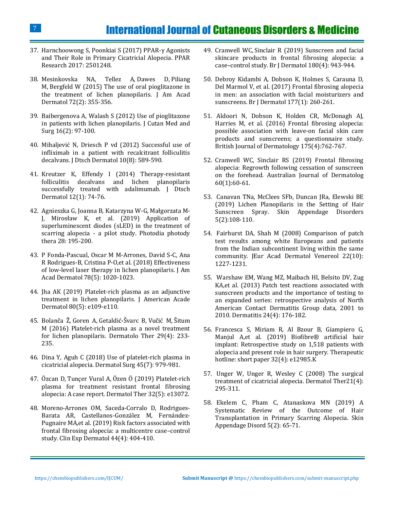- 37. [Harnchoowong S, Poonkiai S \(2017\) PPAR-](chrome-extension://oemmndcbldboiebfnladdacbdfmadadm/https:/pdfs.semanticscholar.org/2e98/482fbc42a46a6df67d1e2353327d295d428f.pdf)γ Agonists [and Their Role in Primary Cicatricial Alopecia. PPAR](chrome-extension://oemmndcbldboiebfnladdacbdfmadadm/https:/pdfs.semanticscholar.org/2e98/482fbc42a46a6df67d1e2353327d295d428f.pdf)  [Research 2017: 2501248.](chrome-extension://oemmndcbldboiebfnladdacbdfmadadm/https:/pdfs.semanticscholar.org/2e98/482fbc42a46a6df67d1e2353327d295d428f.pdf)
- 38. [Mesinkovska NA, Tellez A,](https://www.ncbi.nlm.nih.gov/pubmed/25592345) Dawes D, Piliang M, [Bergfeld W \(2015\) The use of oral pioglitazone in](https://www.ncbi.nlm.nih.gov/pubmed/25592345)  [the treatment of lichen planopilaris. J Am Acad](https://www.ncbi.nlm.nih.gov/pubmed/25592345)  [Dermatol 72\(2\): 355-356.](https://www.ncbi.nlm.nih.gov/pubmed/25592345)
- 39. [Baibergenova A, Walash S \(2012\) Use of pioglitazone](https://www.ncbi.nlm.nih.gov/pubmed/22513061)  [in patients with lichen planopilaris. J Cutan Med and](https://www.ncbi.nlm.nih.gov/pubmed/22513061)  [Surg 16\(2\): 97-100.](https://www.ncbi.nlm.nih.gov/pubmed/22513061)
- 40. Mihaljević N, Driesch P vd [\(2012\) Successful use of](https://www.ncbi.nlm.nih.gov/pubmed/22676386)  [infliximab in a patient with recalcitrant folliculitis](https://www.ncbi.nlm.nih.gov/pubmed/22676386)  [decalvans. J Dtsch Dermatol 10\(8\): 589-590.](https://www.ncbi.nlm.nih.gov/pubmed/22676386)
- 41. [Kreutzer K, Effendy I \(2014\) Therapy-resistant](https://www.ncbi.nlm.nih.gov/pubmed/24124928)  folliculitis decalvans [and lichen planopilaris](https://www.ncbi.nlm.nih.gov/pubmed/24124928)  successfully treated with adalimumab. J Dtsch [Dermatol 12\(1\): 74-76.](https://www.ncbi.nlm.nih.gov/pubmed/24124928)
- 42. [Agnieszka G, Joanna B, Katarzyna W-](https://www.sciencedirect.com/science/article/abs/pii/S1572100019300298#!)G, Małgorzata M-J, Mirosław K, [et al. \(2019\) Application of](https://www.sciencedirect.com/science/article/abs/pii/S1572100019300298#!)  [superluminescent diodes \(sLED\) in the treatment of](https://www.sciencedirect.com/science/article/abs/pii/S1572100019300298#!)  scarring alopecia - [a pilot study. Photodia photody](https://www.sciencedirect.com/science/article/abs/pii/S1572100019300298#!)  [thera 28: 195-200.](https://www.sciencedirect.com/science/article/abs/pii/S1572100019300298#!)
- 43. [P Fonda-Pascual, Oscar M M-Arrones, David S-C, Ana](https://www.jaad.org/article/S0190-9622(17)32739-1/abstract)  [R Rodrigues-B, Cristina P-O,et al. \(2018\) Effectiveness](https://www.jaad.org/article/S0190-9622(17)32739-1/abstract)  [of low-level laser therapy in lichen planopilaris. J Am](https://www.jaad.org/article/S0190-9622(17)32739-1/abstract)  [Acad Dermatol 78\(5\): 1020-1023.](https://www.jaad.org/article/S0190-9622(17)32739-1/abstract)
- 44. [Jha AK \(2019\) Platelet-rich](https://www.ncbi.nlm.nih.gov/pubmed/30244063) plasma as an adjunctive [treatment in lichen planopilaris. J American Acade](https://www.ncbi.nlm.nih.gov/pubmed/30244063)  [Dermatol 80\(5\): e109-e110.](https://www.ncbi.nlm.nih.gov/pubmed/30244063)
- 45. [Bolanča Ž,](https://www.ncbi.nlm.nih.gov/pubmed/26988129) Goren A, Getaldić-Švarc B, Vučić M, Šitum [M \(2016\) Platelet-rich plasma as a novel treatment](https://www.ncbi.nlm.nih.gov/pubmed/26988129)  [for lichen planopilaris. Dermatolo Ther 29\(4\): 233-](https://www.ncbi.nlm.nih.gov/pubmed/26988129) [235.](https://www.ncbi.nlm.nih.gov/pubmed/26988129)
- 46. [Dina Y, Aguh C \(2018\) Use of platelet-rich plasma in](https://www.ncbi.nlm.nih.gov/pubmed/30148733)  [cicatricial alopecia. Dermatol Surg 45\(7\): 979-981.](https://www.ncbi.nlm.nih.gov/pubmed/30148733)
- 47. Özcan D, Tunçer Vural A, [Özen Ö \(2019\) Platelet-rich](https://www.ncbi.nlm.nih.gov/pubmed/31443128)  [plasma for treatment resistant frontal fibrosing](https://www.ncbi.nlm.nih.gov/pubmed/31443128)  [alopecia: A case report. Dermatol Ther 32\(5\): e13072.](https://www.ncbi.nlm.nih.gov/pubmed/31443128)
- 48. [Moreno-Arrones OM, Saceda-Corralo D, Rodrigues-](https://www.ncbi.nlm.nih.gov/pubmed/30259544)[Barata AR, Castellanos-González M, Fernández-](https://www.ncbi.nlm.nih.gov/pubmed/30259544)[Pugnaire MA,et al. \(2019\) Risk factors associated with](https://www.ncbi.nlm.nih.gov/pubmed/30259544)  [frontal fibrosing alopecia: a multicentre case](https://www.ncbi.nlm.nih.gov/pubmed/30259544)–control [study. Clin Exp Dermatol 44\(4\): 404-410.](https://www.ncbi.nlm.nih.gov/pubmed/30259544)
- 49. Cranwell WC, [Sinclair R \(2019\) Sunscreen and facial](https://www.ncbi.nlm.nih.gov/pubmed/30367472)  [skincare products in frontal fibrosing alopecia: a](https://www.ncbi.nlm.nih.gov/pubmed/30367472)  case–[control study. Br J Dermatol 180\(4\): 943-944.](https://www.ncbi.nlm.nih.gov/pubmed/30367472)
- 50. [Debroy Kidambi A, Dobson K, Holmes S, Carauna D,](https://www.ncbi.nlm.nih.gov/pubmed/28112792)  [Del Marmol V, et al. \(2017\) Frontal fibrosing alopecia](https://www.ncbi.nlm.nih.gov/pubmed/28112792)  [in men: an association with facial moisturizers and](https://www.ncbi.nlm.nih.gov/pubmed/28112792)  [sunscreens. Br J Dermatol 177\(1\): 260-261.](https://www.ncbi.nlm.nih.gov/pubmed/28112792)
- 51. [Aldoori N, Dobson K, Holden CR, McDonagh AJ,](https://www.ncbi.nlm.nih.gov/pubmed/26987767)  [Harries M, et al. \(2016\) Frontal fibrosing alopecia:](https://www.ncbi.nlm.nih.gov/pubmed/26987767)  [possible association with leave‐on facial skin care](https://www.ncbi.nlm.nih.gov/pubmed/26987767)  [products and sunscreens; a questionnaire study.](https://www.ncbi.nlm.nih.gov/pubmed/26987767)  [British Journal of Dermatology 175\(4\):762-767.](https://www.ncbi.nlm.nih.gov/pubmed/26987767)
- 52. [Cranwell WC, Sinclair RS \(2019\) Frontal fibrosing](https://www.ncbi.nlm.nih.gov/pubmed/29896853)  [alopecia: Regrowth following cessation of sunscreen](https://www.ncbi.nlm.nih.gov/pubmed/29896853)  [on the forehead. Australian Journal of Dermatolog](https://www.ncbi.nlm.nih.gov/pubmed/29896853)  [60\(1\):60-61.](https://www.ncbi.nlm.nih.gov/pubmed/29896853)
- 53. [Canavan TNa, McClees SFb, Duncan JRa, Elewski BE](https://www.karger.com/Article/FullText/490362)  [\(2019\) Lichen Planopilaris in the Setting of Hair](https://www.karger.com/Article/FullText/490362)  [Sunscreen Spray. Skin Appendage Disorders](https://www.karger.com/Article/FullText/490362)  [5\(2\):108-110.](https://www.karger.com/Article/FullText/490362)
- 54. [Fairhurst DA, Shah M \(2008\) Comparison of patch](https://www.ncbi.nlm.nih.gov/pubmed/18482316)  [test results among white Europeans and patients](https://www.ncbi.nlm.nih.gov/pubmed/18482316)  [from the Indian subcontinent living within the same](https://www.ncbi.nlm.nih.gov/pubmed/18482316)  [community. JEur Acad Dermatol Venereol 22\(10\):](https://www.ncbi.nlm.nih.gov/pubmed/18482316)  [1227-1231.](https://www.ncbi.nlm.nih.gov/pubmed/18482316)
- 55. [Warshaw EM, Wang MZ, Maibach HI, Belsito DV, Zug](https://www.ncbi.nlm.nih.gov/pubmed/23857015)  KA,et [al. \(2013\) Patch test reactions associated with](https://www.ncbi.nlm.nih.gov/pubmed/23857015)  [sunscreen products and the importance of testing to](https://www.ncbi.nlm.nih.gov/pubmed/23857015)  [an expanded series: retrospective analysis of North](https://www.ncbi.nlm.nih.gov/pubmed/23857015)  [American Contact Dermatitis Group data, 2001 to](https://www.ncbi.nlm.nih.gov/pubmed/23857015)  [2010. Dermatitis 24\(4\): 176-182.](https://www.ncbi.nlm.nih.gov/pubmed/23857015)
- 56. [Francesca S, Miriam R, Al Bzour B, Giampiero G,](https://onlinelibrary.wiley.com/doi/abs/10.1111/dth.12985?af=R&)  [Manjul A,et al. \(2019\) Biofibre® artificial hair](https://onlinelibrary.wiley.com/doi/abs/10.1111/dth.12985?af=R&)  [implant: Retrospective study on 1,518 patients with](https://onlinelibrary.wiley.com/doi/abs/10.1111/dth.12985?af=R&)  [alopecia and present role in hair surgery. Therapeutic](https://onlinelibrary.wiley.com/doi/abs/10.1111/dth.12985?af=R&)  [hotline: short paper 32\(4\): e12985.K](https://onlinelibrary.wiley.com/doi/abs/10.1111/dth.12985?af=R&)
- 57. [Unger W, Unger R, Wesley C \(2008\) The surgical](https://www.ncbi.nlm.nih.gov/pubmed/18715299)  [treatment of cicatricial alopecia. Dermatol Ther21\(4\):](https://www.ncbi.nlm.nih.gov/pubmed/18715299)  [295-311.](https://www.ncbi.nlm.nih.gov/pubmed/18715299)
- 58. [Ekelem C, Pham C, Atanaskova MN \(2019\) A](https://www.ncbi.nlm.nih.gov/pubmed/30815438)  [Systematic Review of the Outcome of Hair](https://www.ncbi.nlm.nih.gov/pubmed/30815438)  [Transplantation in Primary Scarring Alopecia. Skin](https://www.ncbi.nlm.nih.gov/pubmed/30815438)  [Appendage Disord 5\(2\): 65-71.](https://www.ncbi.nlm.nih.gov/pubmed/30815438)